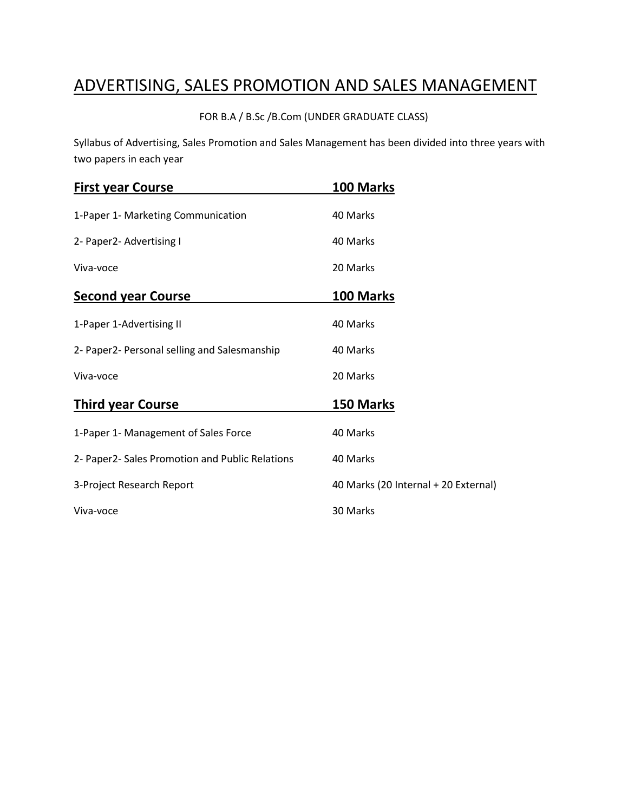# ADVERTISING, SALES PROMOTION AND SALES MANAGEMENT

FOR B.A / B.Sc /B.Com (UNDER GRADUATE CLASS)

Syllabus of Advertising, Sales Promotion and Sales Management has been divided into three years with two papers in each year

| <b>First year Course</b>                        | 100 Marks                            |
|-------------------------------------------------|--------------------------------------|
| 1-Paper 1- Marketing Communication              | 40 Marks                             |
| 2- Paper2- Advertising I                        | 40 Marks                             |
| Viva-voce                                       | 20 Marks                             |
| <b>Second year Course</b>                       | 100 Marks                            |
| 1-Paper 1-Advertising II                        | 40 Marks                             |
| 2- Paper2- Personal selling and Salesmanship    | 40 Marks                             |
| Viva-voce                                       | 20 Marks                             |
| <b>Third year Course</b>                        | 150 Marks                            |
| 1-Paper 1- Management of Sales Force            | 40 Marks                             |
| 2- Paper2- Sales Promotion and Public Relations | 40 Marks                             |
| 3-Project Research Report                       | 40 Marks (20 Internal + 20 External) |
| Viva-voce                                       | 30 Marks                             |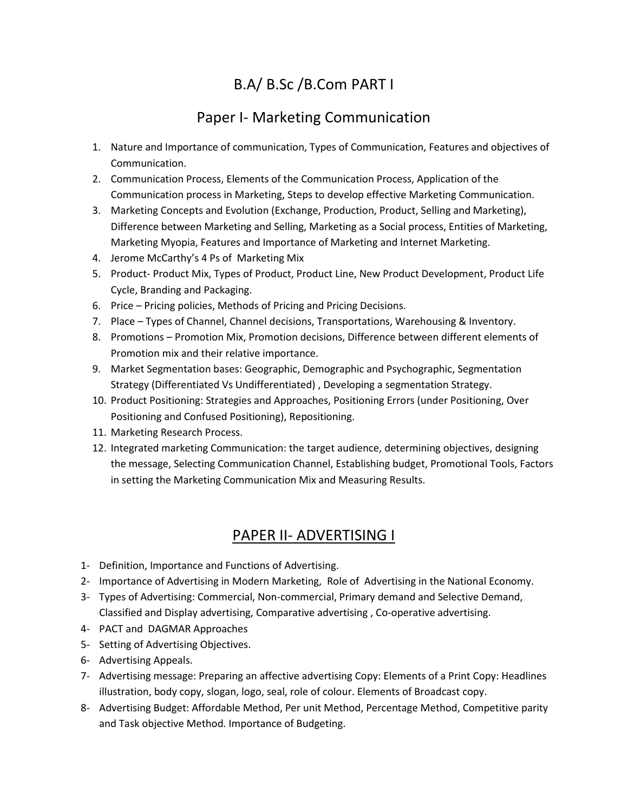## B.A/ B.Sc /B.Com PART I

## Paper I- Marketing Communication

- 1. Nature and Importance of communication, Types of Communication, Features and objectives of Communication.
- 2. Communication Process, Elements of the Communication Process, Application of the Communication process in Marketing, Steps to develop effective Marketing Communication.
- 3. Marketing Concepts and Evolution (Exchange, Production, Product, Selling and Marketing), Difference between Marketing and Selling, Marketing as a Social process, Entities of Marketing, Marketing Myopia, Features and Importance of Marketing and Internet Marketing.
- 4. Jerome McCarthy's 4 Ps of Marketing Mix
- 5. Product- Product Mix, Types of Product, Product Line, New Product Development, Product Life Cycle, Branding and Packaging.
- 6. Price Pricing policies, Methods of Pricing and Pricing Decisions.
- 7. Place Types of Channel, Channel decisions, Transportations, Warehousing & Inventory.
- 8. Promotions Promotion Mix, Promotion decisions, Difference between different elements of Promotion mix and their relative importance.
- 9. Market Segmentation bases: Geographic, Demographic and Psychographic, Segmentation Strategy (Differentiated Vs Undifferentiated) , Developing a segmentation Strategy.
- 10. Product Positioning: Strategies and Approaches, Positioning Errors (under Positioning, Over Positioning and Confused Positioning), Repositioning.
- 11. Marketing Research Process.
- 12. Integrated marketing Communication: the target audience, determining objectives, designing the message, Selecting Communication Channel, Establishing budget, Promotional Tools, Factors in setting the Marketing Communication Mix and Measuring Results.

#### PAPER II- ADVERTISING I

- 1- Definition, Importance and Functions of Advertising.
- 2- Importance of Advertising in Modern Marketing, Role of Advertising in the National Economy.
- 3- Types of Advertising: Commercial, Non-commercial, Primary demand and Selective Demand, Classified and Display advertising, Comparative advertising , Co-operative advertising.
- 4- PACT and DAGMAR Approaches
- 5- Setting of Advertising Objectives.
- 6- Advertising Appeals.
- 7- Advertising message: Preparing an affective advertising Copy: Elements of a Print Copy: Headlines illustration, body copy, slogan, logo, seal, role of colour. Elements of Broadcast copy.
- 8- Advertising Budget: Affordable Method, Per unit Method, Percentage Method, Competitive parity and Task objective Method. Importance of Budgeting.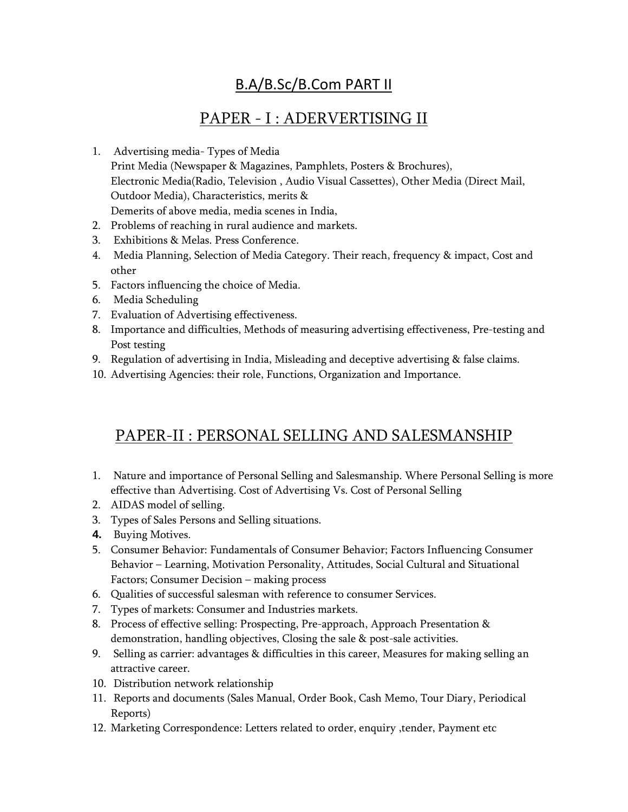### B.A/B.Sc/B.Com PART II

## PAPER - I : ADERVERTISING II

- 1. Advertising media- Types of Media Print Media (Newspaper & Magazines, Pamphlets, Posters & Brochures), Electronic Media(Radio, Television , Audio Visual Cassettes), Other Media (Direct Mail, Outdoor Media), Characteristics, merits & Demerits of above media, media scenes in India,
- 2. Problems of reaching in rural audience and markets.
- 3. Exhibitions & Melas. Press Conference.
- 4. Media Planning, Selection of Media Category. Their reach, frequency & impact, Cost and other
- 5. Factors influencing the choice of Media.
- 6. Media Scheduling
- 7. Evaluation of Advertising effectiveness.
- 8. Importance and difficulties, Methods of measuring advertising effectiveness, Pre-testing and Post testing
- 9. Regulation of advertising in India, Misleading and deceptive advertising & false claims.
- 10. Advertising Agencies: their role, Functions, Organization and Importance.

## PAPER-II : PERSONAL SELLING AND SALESMANSHIP

- 1. Nature and importance of Personal Selling and Salesmanship. Where Personal Selling is more effective than Advertising. Cost of Advertising Vs. Cost of Personal Selling
- 2. AIDAS model of selling.
- 3. Types of Sales Persons and Selling situations.
- **4.** Buying Motives.
- 5. Consumer Behavior: Fundamentals of Consumer Behavior; Factors Influencing Consumer Behavior – Learning, Motivation Personality, Attitudes, Social Cultural and Situational Factors; Consumer Decision – making process
- 6. Qualities of successful salesman with reference to consumer Services.
- 7. Types of markets: Consumer and Industries markets.
- 8. Process of effective selling: Prospecting, Pre-approach, Approach Presentation & demonstration, handling objectives, Closing the sale & post-sale activities.
- 9. Selling as carrier: advantages & difficulties in this career, Measures for making selling an attractive career.
- 10. Distribution network relationship
- 11. Reports and documents (Sales Manual, Order Book, Cash Memo, Tour Diary, Periodical Reports)
- 12. Marketing Correspondence: Letters related to order, enquiry ,tender, Payment etc